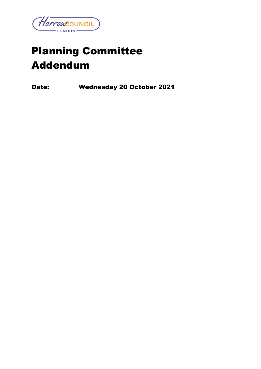

# Planning Committee Addendum

Date: Wednesday 20 October 2021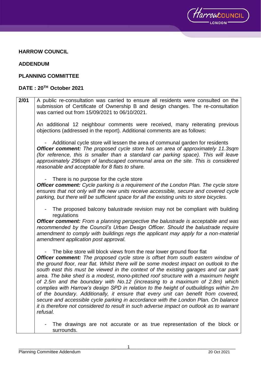

# **HARROW COUNCIL**

# **ADDENDUM**

#### **PLANNING COMMITTEE**

# **DATE : 20TH October 2021**

**2/01** A public re-consultation was carried to ensure all residents were consulted on the submission of Certificate of Ownership B and design changes. The re-consultation was carried out from 15/09/2021 to 06/10/2021.

An additional 12 neighbour comments were received, many reiterating previous objections (addressed in the report). Additional comments are as follows:

- Additional cycle store will lessen the area of communal garden for residents *Officer comment: The proposed cycle store has an area of approximately 11.3sqm (for reference, this is smaller than a standard car parking space). This will leave approximately 296sqm of landscaped communal area on the site. This is considered reasonable and acceptable for 8 flats to share.* 

There is no purpose for the cycle store

*Officer comment: Cycle parking is a requirement of the London Plan. The cycle store ensures that not only will the new units receive accessible, secure and covered cycle parking, but there will be sufficient space for all the existing units to store bicycles.* 

The proposed balcony balustrade revision may not be compliant with building regulations

*Officer comment: From a planning perspective the balustrade is acceptable and was recommended by the Council's Urban Design Officer. Should the balustrade require amendment to comply with buildings regs the applicant may apply for a non-material amendment application post approval.*

The bike store will block views from the rear lower ground floor flat

*Officer comment: The proposed cycle store is offset from south eastern window of the ground floor, rear flat. Whilst there will be some modest impact on outlook to the south east this must be viewed in the context of the existing garages and car park area. The bike shed is a modest, mono-pitched roof structure with a maximum height of 2.5m and the boundary with No.12 (increasing to a maximum of 2.8m) which complies with Harrow's design SPD in relation to the height of outbuildings within 2m of the boundary. Additionally, it ensure that every unit can benefit from covered, secure and accessible cycle parking in accordance with the London Plan. On balance it is therefore not considered to result in such adverse impact on outlook as to warrant refusal.* 

The drawings are not accurate or as true representation of the block or surrounds.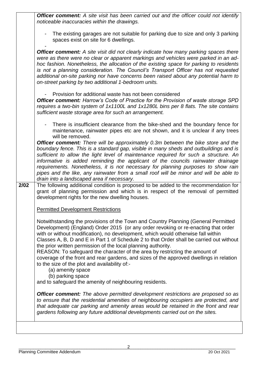*Officer comment: A site visit has been carried out and the officer could not identify noticeable inaccuracies within the drawings.* 

The existing garages are not suitable for parking due to size and only 3 parking spaces exist on site for 6 dwellings.

- *Officer comment: A site visit did not clearly indicate how many parking spaces there were as there were no clear or apparent markings and vehicles were parked in an adhoc fashion. Nonetheless, the allocation of the existing space for parking to residents is not a planning consideration. The Council's Transport Officer has not requested additional on-site parking nor have concerns been raised about any potential harm to on-street parking by two additional 1-bedroom units.* 

Provision for additional waste has not been considered

*Officer comment: Harrow's Code of Practice for the Provision of waste storage SPD requires a two-bin system of 1x1100L and 1x1280L bins per 8 flats. The site contains sufficient waste storage area for such an arrangement.* 

There is insufficient clearance from the bike-shed and the boundary fence for maintenance, rainwater pipes etc are not shown, and it is unclear if any trees will be removed.

*Officer comment: There will be approximately 0.3m between the bike store and the boundary fence. This is a standard gap, visible in many sheds and outbuildings and is sufficient to allow the light level of maintenance required for such a structure. An informative is added reminding the applicant of the councils rainwater drainage requirements. Nonetheless, it is not necessary for planning purposes to show rain pipes and the like, any rainwater from a small roof will be minor and will be able to drain into a landscaped area if necessary.* 

**2/02** The following additional condition is proposed to be added to the recommendation for grant of planning permission and which is in respect of the removal of permitted development rights for the new dwelling houses.

# Permitted Development Restrictions

Notwithstanding the provisions of the Town and Country Planning (General Permitted Development) (England) Order 2015 (or any order revoking or re-enacting that order with or without modification), no development, which would otherwise fall within Classes A, B, D and E in Part 1 of Schedule 2 to that Order shall be carried out without the prior written permission of the local planning authority.

REASON: To safeguard the character of the area by restricting the amount of coverage of the front and rear gardens, and sizes of the approved dwellings in relation to the size of the plot and availability of:-

(a) amenity space

(b) parking space

and to safeguard the amenity of neighbouring residents.

*Officer comment: The above permitted development restrictions are proposed so as to ensure that the residential amenities of neighbouring occupiers are protected, and that adequate car parking and amenity areas would be retained in the front and rear gardens following any future additional developments carried out on the sites.*